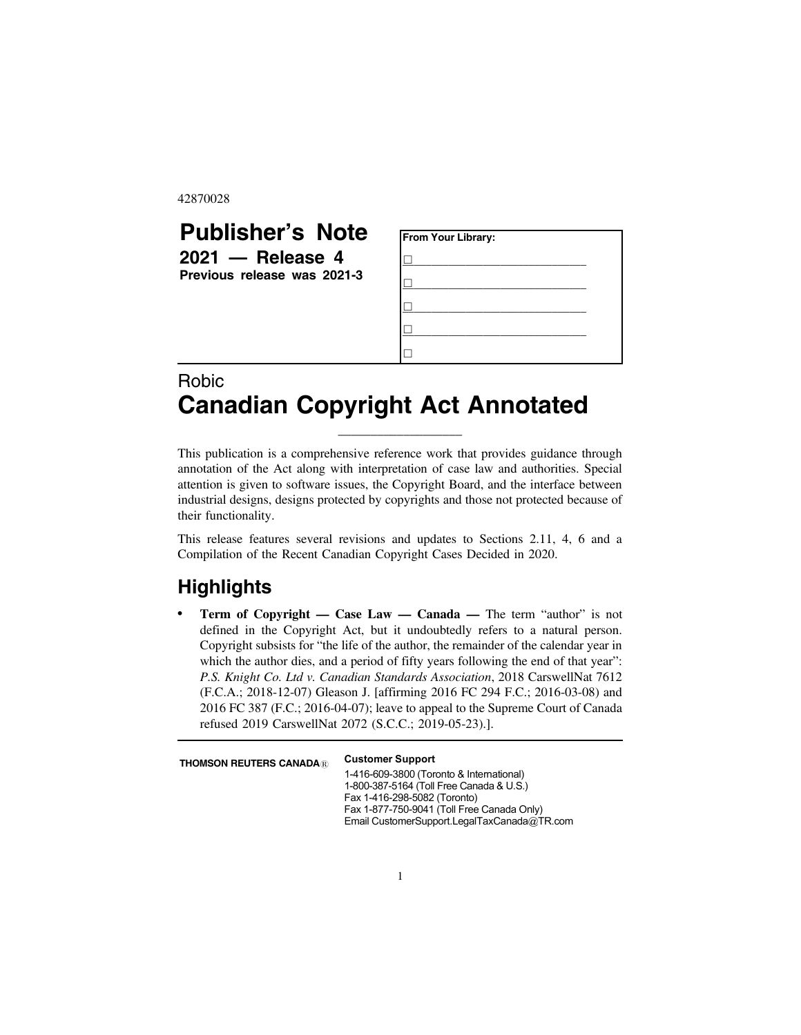42870028

## **Publisher's Note 2021 — Release 4 Previous release was 2021-3 From Your Library:** &**\_\_\_\_\_\_\_\_\_\_\_\_\_\_\_\_\_\_\_\_\_\_\_\_\_\_\_\_\_\_\_\_** &**\_\_\_\_\_\_\_\_\_\_\_\_\_\_\_\_\_\_\_\_\_\_\_\_\_\_\_\_\_\_\_\_** &**\_\_\_\_\_\_\_\_\_\_\_\_\_\_\_\_\_\_\_\_\_\_\_\_\_\_\_\_\_\_\_\_** &**\_\_\_\_\_\_\_\_\_\_\_\_\_\_\_\_\_\_\_\_\_\_\_\_\_\_\_\_\_\_\_\_**  $\Box$

## Robic **Canadian Copyright Act Annotated**

This publication is a comprehensive reference work that provides guidance through annotation of the Act along with interpretation of case law and authorities. Special attention is given to software issues, the Copyright Board, and the interface between industrial designs, designs protected by copyrights and those not protected because of their functionality.

\_\_\_\_\_\_\_\_\_\_\_\_\_\_\_\_\_\_\_

This release features several revisions and updates to Sections 2.11, 4, 6 and a Compilation of the Recent Canadian Copyright Cases Decided in 2020.

## **Highlights**

**Term of Copyright — Case Law — Canada — The term "author" is not** defined in the Copyright Act, but it undoubtedly refers to a natural person. Copyright subsists for "the life of the author, the remainder of the calendar year in which the author dies, and a period of fifty years following the end of that year": *P.S. Knight Co. Ltd v. Canadian Standards Association*, 2018 CarswellNat 7612 (F.C.A.; 2018-12-07) Gleason J. [affirming 2016 FC 294 F.C.; 2016-03-08) and 2016 FC 387 (F.C.; 2016-04-07); leave to appeal to the Supreme Court of Canada refused 2019 CarswellNat 2072 (S.C.C.; 2019-05-23).].

**THOMSON REUTERS CANADA<sup>®</sup> Customer Support** 

1-416-609-3800 (Toronto & International) 1-800-387-5164 (Toll Free Canada & U.S.) Fax 1-416-298-5082 (Toronto) Fax 1-877-750-9041 (Toll Free Canada Only) Email CustomerSupport.LegalTaxCanada@TR.com